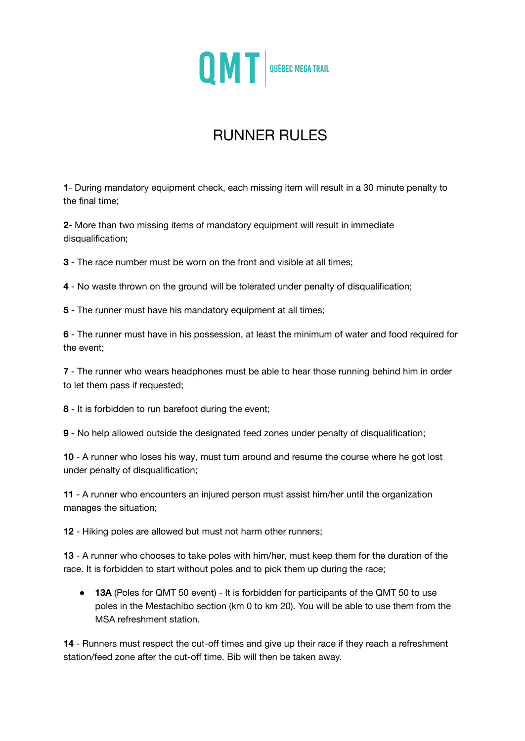

# RUNNER RULES

**1**- During mandatory equipment check, each missing item will result in a 30 minute penalty to the final time;

**2**- More than two missing items of mandatory equipment will result in immediate disqualification;

**3** - The race number must be worn on the front and visible at all times;

**4** - No waste thrown on the ground will be tolerated under penalty of disqualification;

**5** - The runner must have his mandatory equipment at all times;

**6** - The runner must have in his possession, at least the minimum of water and food required for the event;

**7** - The runner who wears headphones must be able to hear those running behind him in order to let them pass if requested;

**8** - It is forbidden to run barefoot during the event;

**9** - No help allowed outside the designated feed zones under penalty of disqualification;

**10** - A runner who loses his way, must turn around and resume the course where he got lost under penalty of disqualification;

**11** - A runner who encounters an injured person must assist him/her until the organization manages the situation;

**12** - Hiking poles are allowed but must not harm other runners;

**13** - A runner who chooses to take poles with him/her, must keep them for the duration of the race. It is forbidden to start without poles and to pick them up during the race;

● **13A** (Poles for QMT 50 event) - It is forbidden for participants of the QMT 50 to use poles in the Mestachibo section (km 0 to km 20). You will be able to use them from the MSA refreshment station.

**14** - Runners must respect the cut-off times and give up their race if they reach a refreshment station/feed zone after the cut-off time. Bib will then be taken away.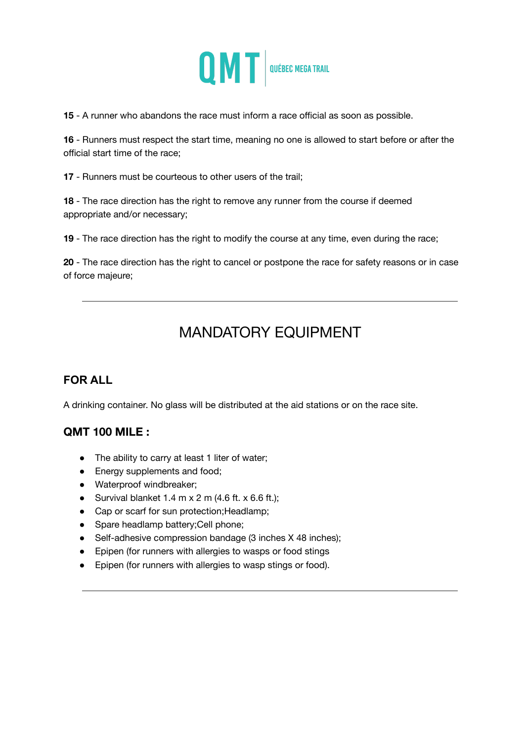

**15** - A runner who abandons the race must inform a race official as soon as possible.

**16** - Runners must respect the start time, meaning no one is allowed to start before or after the official start time of the race;

**17** - Runners must be courteous to other users of the trail;

**18** - The race direction has the right to remove any runner from the course if deemed appropriate and/or necessary;

**19** - The race direction has the right to modify the course at any time, even during the race;

**20** - The race direction has the right to cancel or postpone the race for safety reasons or in case of force majeure;

## MANDATORY EQUIPMENT

## **FOR ALL**

A drinking container. No glass will be distributed at the aid stations or on the race site.

## **QMT 100 MILE :**

- The ability to carry at least 1 liter of water;
- Energy supplements and food;
- Waterproof windbreaker;
- Survival blanket  $1.4$  m  $\times$  2 m (4.6 ft.  $\times$  6.6 ft.);
- Cap or scarf for sun protection; Headlamp;
- Spare headlamp battery; Cell phone;
- Self-adhesive compression bandage (3 inches X 48 inches);
- Epipen (for runners with allergies to wasps or food stings
- Epipen (for runners with allergies to wasp stings or food).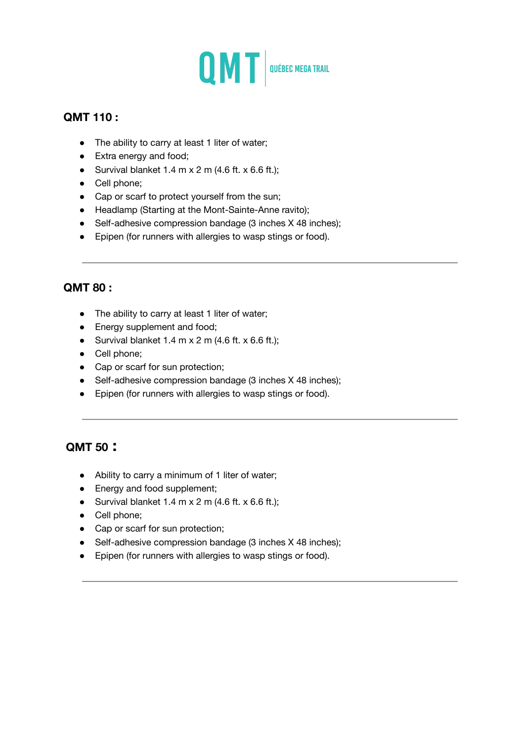

### **QMT 110 :**

- The ability to carry at least 1 liter of water;
- Extra energy and food;
- Survival blanket  $1.4$  m  $x$  2 m  $(4.6$  ft.  $x$  6.6 ft.);
- Cell phone;
- Cap or scarf to protect yourself from the sun;
- Headlamp (Starting at the Mont-Sainte-Anne ravito);
- Self-adhesive compression bandage (3 inches X 48 inches);
- Epipen (for runners with allergies to wasp stings or food).

#### **QMT 80 :**

- The ability to carry at least 1 liter of water;
- Energy supplement and food;
- Survival blanket  $1.4$  m x  $2$  m ( $4.6$  ft. x  $6.6$  ft.);
- Cell phone;
- Cap or scarf for sun protection;
- Self-adhesive compression bandage (3 inches X 48 inches);
- Epipen (for runners with allergies to wasp stings or food).

#### **QMT 50 :**

- Ability to carry a minimum of 1 liter of water;
- Energy and food supplement;
- Survival blanket  $1.4$  m x  $2$  m ( $4.6$  ft. x  $6.6$  ft.);
- Cell phone;
- Cap or scarf for sun protection;
- Self-adhesive compression bandage (3 inches X 48 inches);
- Epipen (for runners with allergies to wasp stings or food).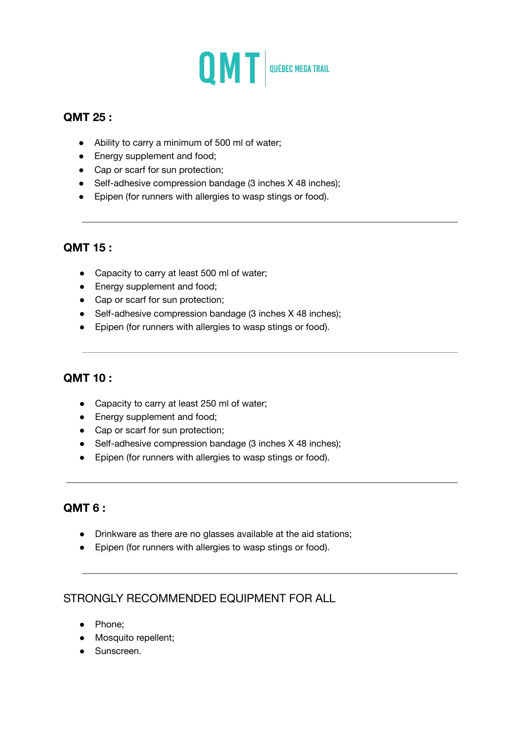

### **QMT 25 :**

- Ability to carry a minimum of 500 ml of water;
- Energy supplement and food;
- Cap or scarf for sun protection;
- Self-adhesive compression bandage (3 inches X 48 inches);
- Epipen (for runners with allergies to wasp stings or food).

#### **QMT 15 :**

- Capacity to carry at least 500 ml of water;
- Energy supplement and food;
- Cap or scarf for sun protection;
- Self-adhesive compression bandage (3 inches X 48 inches);
- Epipen (for runners with allergies to wasp stings or food).

#### **QMT 10 :**

- Capacity to carry at least 250 ml of water;
- Energy supplement and food;
- Cap or scarf for sun protection;
- Self-adhesive compression bandage (3 inches X 48 inches);
- Epipen (for runners with allergies to wasp stings or food).

#### **QMT 6 :**

- Drinkware as there are no glasses available at the aid stations;
- Epipen (for runners with allergies to wasp stings or food).

## STRONGLY RECOMMENDED EQUIPMENT FOR ALL

- Phone;
- Mosquito repellent;
- Sunscreen.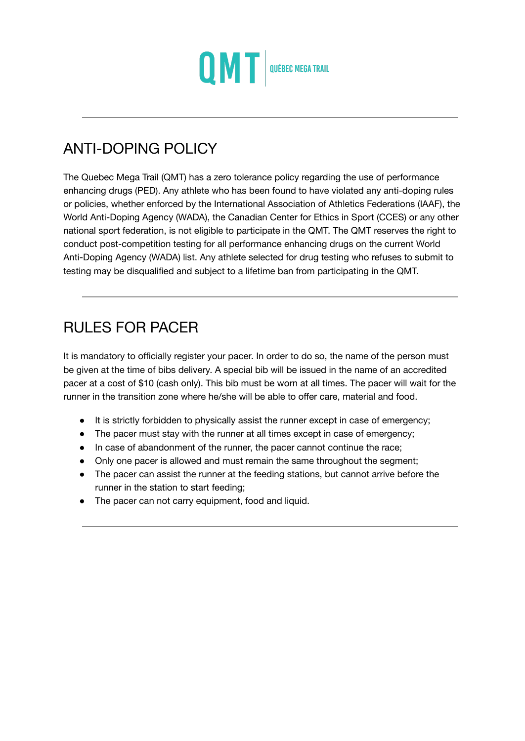

## ANTI-DOPING POLICY

The Quebec Mega Trail (QMT) has a zero tolerance policy regarding the use of performance enhancing drugs (PED). Any athlete who has been found to have violated any anti-doping rules or policies, whether enforced by the International Association of Athletics Federations (IAAF), the World Anti-Doping Agency (WADA), the Canadian Center for Ethics in Sport (CCES) or any other national sport federation, is not eligible to participate in the QMT. The QMT reserves the right to conduct post-competition testing for all performance enhancing drugs on the current World Anti-Doping Agency (WADA) list. Any athlete selected for drug testing who refuses to submit to testing may be disqualified and subject to a lifetime ban from participating in the QMT.

## RULES FOR PACER

It is mandatory to officially register your pacer. In order to do so, the name of the person must be given at the time of bibs delivery. A special bib will be issued in the name of an accredited pacer at a cost of \$10 (cash only). This bib must be worn at all times. The pacer will wait for the runner in the transition zone where he/she will be able to offer care, material and food.

- It is strictly forbidden to physically assist the runner except in case of emergency;
- The pacer must stay with the runner at all times except in case of emergency;
- In case of abandonment of the runner, the pacer cannot continue the race;
- Only one pacer is allowed and must remain the same throughout the segment;
- The pacer can assist the runner at the feeding stations, but cannot arrive before the runner in the station to start feeding;
- The pacer can not carry equipment, food and liquid.